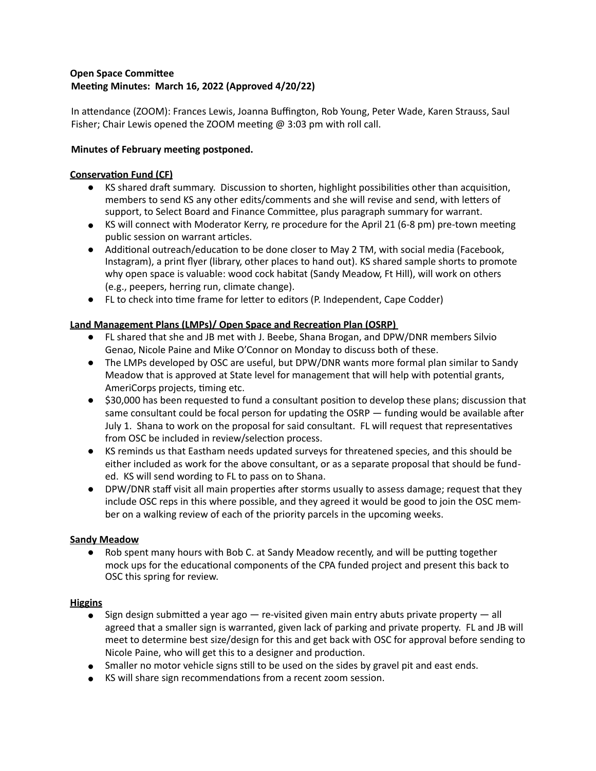# **Open Space Committee Meeting Minutes: March 16, 2022 (Approved 4/20/22)**

In attendance (ZOOM): Frances Lewis, Joanna Buffington, Rob Young, Peter Wade, Karen Strauss, Saul Fisher; Chair Lewis opened the ZOOM meeting  $@$  3:03 pm with roll call.

## **Minutes of February meeting postponed.**

## **Conservation Fund (CF)**

- KS shared draft summary. Discussion to shorten, highlight possibilities other than acquisition, members to send KS any other edits/comments and she will revise and send, with letters of support, to Select Board and Finance Committee, plus paragraph summary for warrant.
- KS will connect with Moderator Kerry, re procedure for the April 21 (6-8 pm) pre-town meeting public session on warrant articles.
- Additional outreach/education to be done closer to May 2 TM, with social media (Facebook, Instagram), a print flyer (library, other places to hand out). KS shared sample shorts to promote why open space is valuable: wood cock habitat (Sandy Meadow, Ft Hill), will work on others (e.g., peepers, herring run, climate change).
- FL to check into time frame for letter to editors (P. Independent, Cape Codder)

# **Land Management Plans (LMPs)/ Open Space and Recreation Plan (OSRP)**

- FL shared that she and JB met with J. Beebe, Shana Brogan, and DPW/DNR members Silvio Genao, Nicole Paine and Mike O'Connor on Monday to discuss both of these.
- The LMPs developed by OSC are useful, but DPW/DNR wants more formal plan similar to Sandy Meadow that is approved at State level for management that will help with potential grants, AmeriCorps projects, timing etc.
- \$30,000 has been requested to fund a consultant position to develop these plans; discussion that same consultant could be focal person for updating the OSRP  $-$  funding would be available after July 1. Shana to work on the proposal for said consultant. FL will request that representatives from OSC be included in review/selection process.
- KS reminds us that Eastham needs updated surveys for threatened species, and this should be either included as work for the above consultant, or as a separate proposal that should be funded. KS will send wording to FL to pass on to Shana.
- DPW/DNR staff visit all main properties after storms usually to assess damage; request that they include OSC reps in this where possible, and they agreed it would be good to join the OSC member on a walking review of each of the priority parcels in the upcoming weeks.

### **Sandy Meadow**

● Rob spent many hours with Bob C. at Sandy Meadow recently, and will be putting together mock ups for the educational components of the CPA funded project and present this back to OSC this spring for review.

### **Higgins**

- Sign design submitted a year ago  $-$  re-visited given main entry abuts private property  $-$  all agreed that a smaller sign is warranted, given lack of parking and private property. FL and JB will meet to determine best size/design for this and get back with OSC for approval before sending to Nicole Paine, who will get this to a designer and production.
- Smaller no motor vehicle signs still to be used on the sides by gravel pit and east ends.
- KS will share sign recommendations from a recent zoom session.